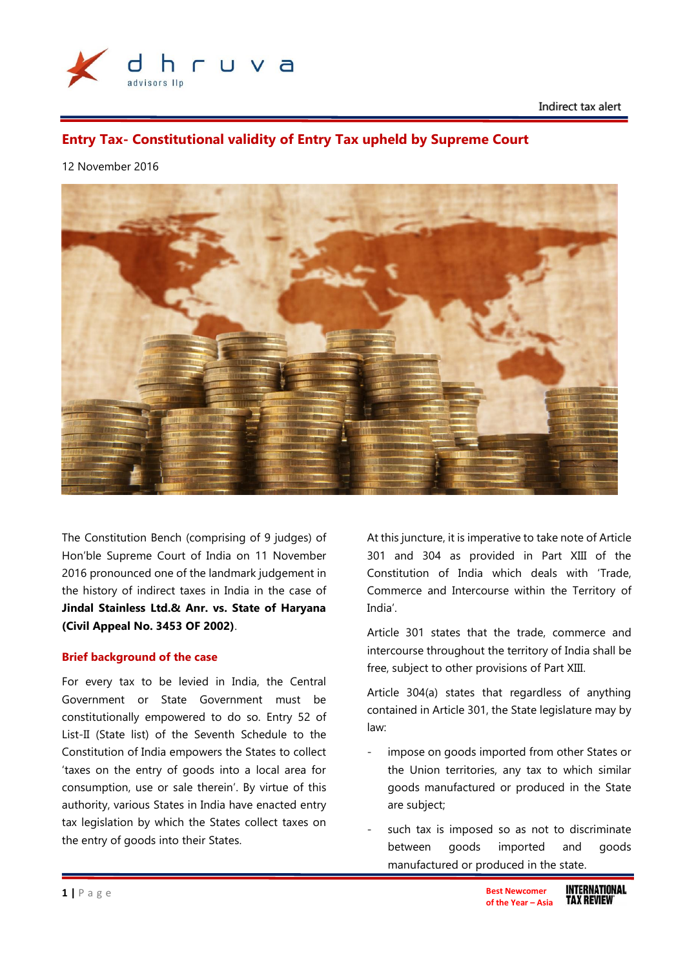

Indirect tax alert

# **Entry Tax- Constitutional validity of Entry Tax upheld by Supreme Court**

#### 12 November 2016



The Constitution Bench (comprising of 9 judges) of Hon'ble Supreme Court of India on 11 November 2016 pronounced one of the landmark judgement in the history of indirect taxes in India in the case of **Jindal Stainless Ltd.& Anr. vs. State of Haryana (Civil Appeal No. 3453 OF 2002)**.

#### **Brief background of the case**

For every tax to be levied in India, the Central Government or State Government must be constitutionally empowered to do so. Entry 52 of List-II (State list) of the Seventh Schedule to the Constitution of India empowers the States to collect 'taxes on the entry of goods into a local area for consumption, use or sale therein'. By virtue of this authority, various States in India have enacted entry tax legislation by which the States collect taxes on the entry of goods into their States.

At this juncture, it is imperative to take note of Article 301 and 304 as provided in Part XIII of the Constitution of India which deals with 'Trade, Commerce and Intercourse within the Territory of India'.

Article 301 states that the trade, commerce and intercourse throughout the territory of India shall be free, subject to other provisions of Part XIII.

Article 304(a) states that regardless of anything contained in Article 301, the State legislature may by law:

- impose on goods imported from other States or the Union territories, any tax to which similar goods manufactured or produced in the State are subject;
- such tax is imposed so as not to discriminate between goods imported and goods manufactured or produced in the state.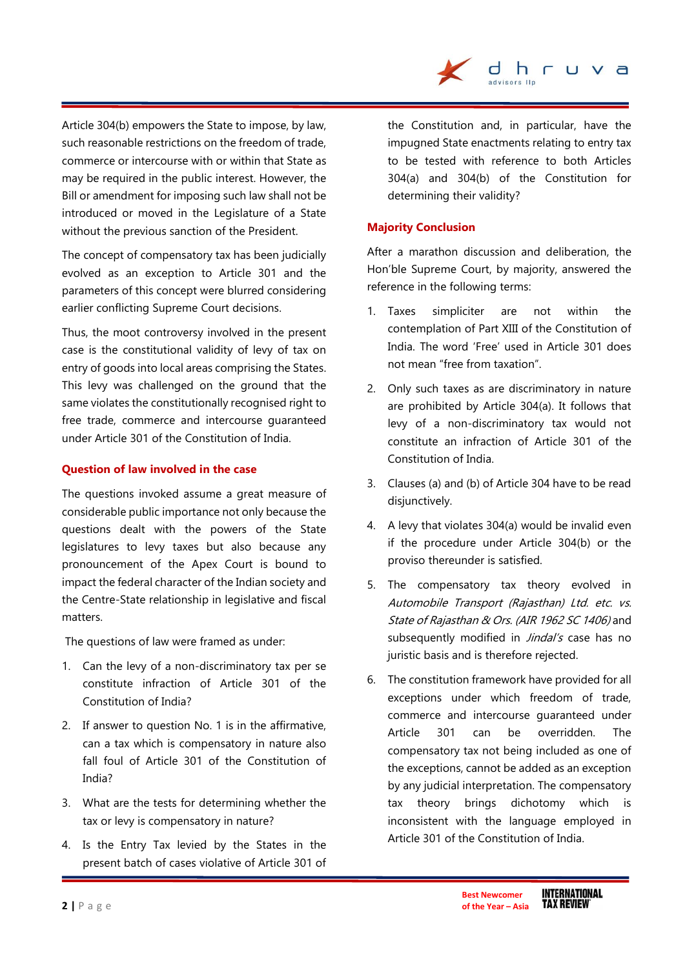Article 304(b) empowers the State to impose, by law, such reasonable restrictions on the freedom of trade, commerce or intercourse with or within that State as may be required in the public interest. However, the Bill or amendment for imposing such law shall not be introduced or moved in the Legislature of a State without the previous sanction of the President.

The concept of compensatory tax has been judicially evolved as an exception to Article 301 and the parameters of this concept were blurred considering earlier conflicting Supreme Court decisions.

Thus, the moot controversy involved in the present case is the constitutional validity of levy of tax on entry of goods into local areas comprising the States. This levy was challenged on the ground that the same violates the constitutionally recognised right to free trade, commerce and intercourse guaranteed under Article 301 of the Constitution of India.

## **Question of law involved in the case**

The questions invoked assume a great measure of considerable public importance not only because the questions dealt with the powers of the State legislatures to levy taxes but also because any pronouncement of the Apex Court is bound to impact the federal character of the Indian society and the Centre-State relationship in legislative and fiscal matters.

The questions of law were framed as under:

- 1. Can the levy of a non-discriminatory tax per se constitute infraction of Article 301 of the Constitution of India?
- 2. If answer to question No. 1 is in the affirmative, can a tax which is compensatory in nature also fall foul of Article 301 of the Constitution of India?
- 3. What are the tests for determining whether the tax or levy is compensatory in nature?
- 4. Is the Entry Tax levied by the States in the present batch of cases violative of Article 301 of

the Constitution and, in particular, have the impugned State enactments relating to entry tax to be tested with reference to both Articles 304(a) and 304(b) of the Constitution for determining their validity?

dhruva

## **Majority Conclusion**

After a marathon discussion and deliberation, the Hon'ble Supreme Court, by majority, answered the reference in the following terms:

- 1. Taxes simpliciter are not within the contemplation of Part XIII of the Constitution of India. The word 'Free' used in Article 301 does not mean "free from taxation".
- 2. Only such taxes as are discriminatory in nature are prohibited by Article 304(a). It follows that levy of a non-discriminatory tax would not constitute an infraction of Article 301 of the Constitution of India.
- 3. Clauses (a) and (b) of Article 304 have to be read disjunctively.
- 4. A levy that violates 304(a) would be invalid even if the procedure under Article 304(b) or the proviso thereunder is satisfied.
- 5. The compensatory tax theory evolved in Automobile Transport (Rajasthan) Ltd. etc. vs. State of Rajasthan & Ors. (AIR 1962 SC 1406) and subsequently modified in Jindal's case has no juristic basis and is therefore rejected.
- 6. The constitution framework have provided for all exceptions under which freedom of trade, commerce and intercourse guaranteed under Article 301 can be overridden. The compensatory tax not being included as one of the exceptions, cannot be added as an exception by any judicial interpretation. The compensatory tax theory brings dichotomy which is inconsistent with the language employed in Article 301 of the Constitution of India.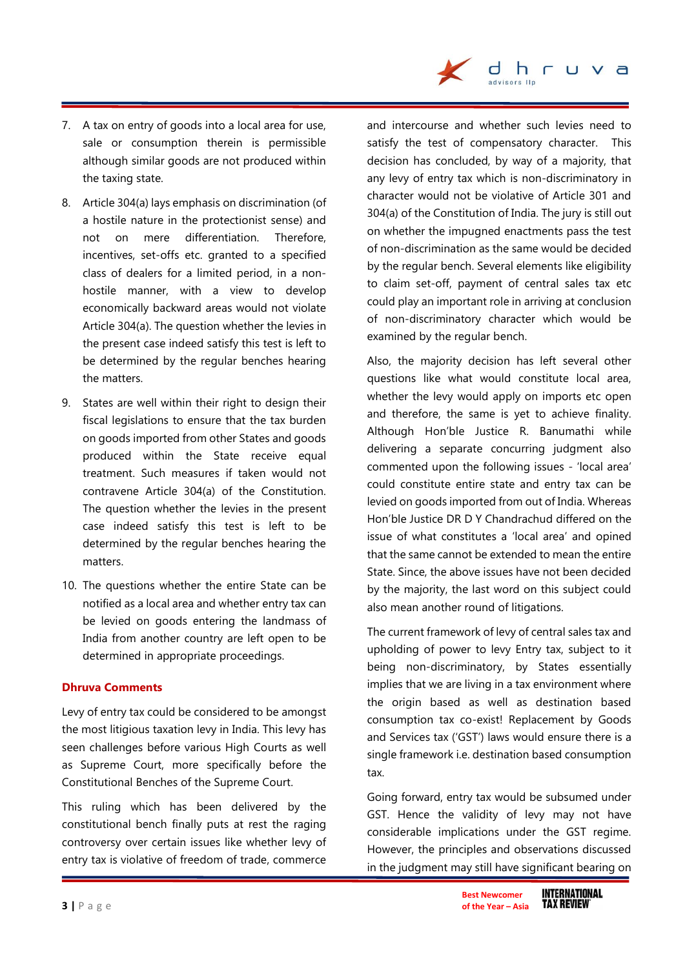

- 7. A tax on entry of goods into a local area for use, sale or consumption therein is permissible although similar goods are not produced within the taxing state.
- 8. Article 304(a) lays emphasis on discrimination (of a hostile nature in the protectionist sense) and not on mere differentiation. Therefore, incentives, set-offs etc. granted to a specified class of dealers for a limited period, in a nonhostile manner, with a view to develop economically backward areas would not violate Article 304(a). The question whether the levies in the present case indeed satisfy this test is left to be determined by the regular benches hearing the matters.
- 9. States are well within their right to design their fiscal legislations to ensure that the tax burden on goods imported from other States and goods produced within the State receive equal treatment. Such measures if taken would not contravene Article 304(a) of the Constitution. The question whether the levies in the present case indeed satisfy this test is left to be determined by the regular benches hearing the matters.
- 10. The questions whether the entire State can be notified as a local area and whether entry tax can be levied on goods entering the landmass of India from another country are left open to be determined in appropriate proceedings.

#### **Dhruva Comments**

Levy of entry tax could be considered to be amongst the most litigious taxation levy in India. This levy has seen challenges before various High Courts as well as Supreme Court, more specifically before the Constitutional Benches of the Supreme Court.

This ruling which has been delivered by the constitutional bench finally puts at rest the raging controversy over certain issues like whether levy of entry tax is violative of freedom of trade, commerce and intercourse and whether such levies need to satisfy the test of compensatory character. This decision has concluded, by way of a majority, that any levy of entry tax which is non-discriminatory in character would not be violative of Article 301 and 304(a) of the Constitution of India. The jury is still out on whether the impugned enactments pass the test of non-discrimination as the same would be decided by the regular bench. Several elements like eligibility to claim set-off, payment of central sales tax etc could play an important role in arriving at conclusion of non-discriminatory character which would be examined by the regular bench.

Also, the majority decision has left several other questions like what would constitute local area, whether the levy would apply on imports etc open and therefore, the same is yet to achieve finality. Although Hon'ble Justice R. Banumathi while delivering a separate concurring judgment also commented upon the following issues - 'local area' could constitute entire state and entry tax can be levied on goods imported from out of India. Whereas Hon'ble Justice DR D Y Chandrachud differed on the issue of what constitutes a 'local area' and opined that the same cannot be extended to mean the entire State. Since, the above issues have not been decided by the majority, the last word on this subject could also mean another round of litigations.

The current framework of levy of central sales tax and upholding of power to levy Entry tax, subject to it being non-discriminatory, by States essentially implies that we are living in a tax environment where the origin based as well as destination based consumption tax co-exist! Replacement by Goods and Services tax ('GST') laws would ensure there is a single framework i.e. destination based consumption tax.

Going forward, entry tax would be subsumed under GST. Hence the validity of levy may not have considerable implications under the GST regime. However, the principles and observations discussed in the judgment may still have significant bearing on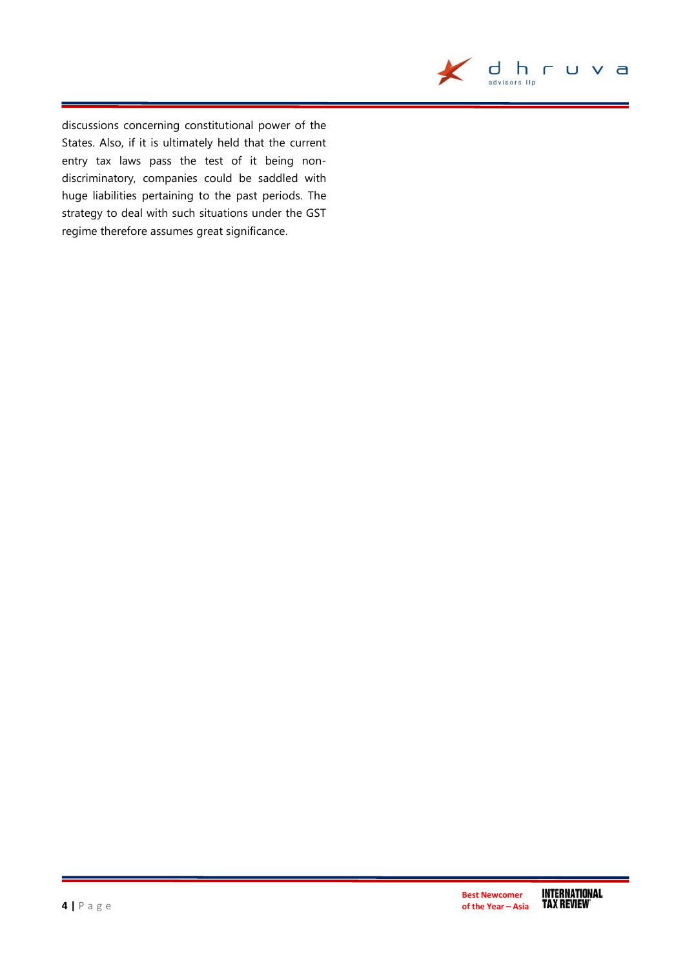

discussions concerning constitutional power of the States. Also, if it is ultimately held that the current entry tax laws pass the test of it being nondiscriminatory, companies could be saddled with huge liabilities pertaining to the past periods. The strategy to deal with such situations under the GST regime therefore assumes great significance.